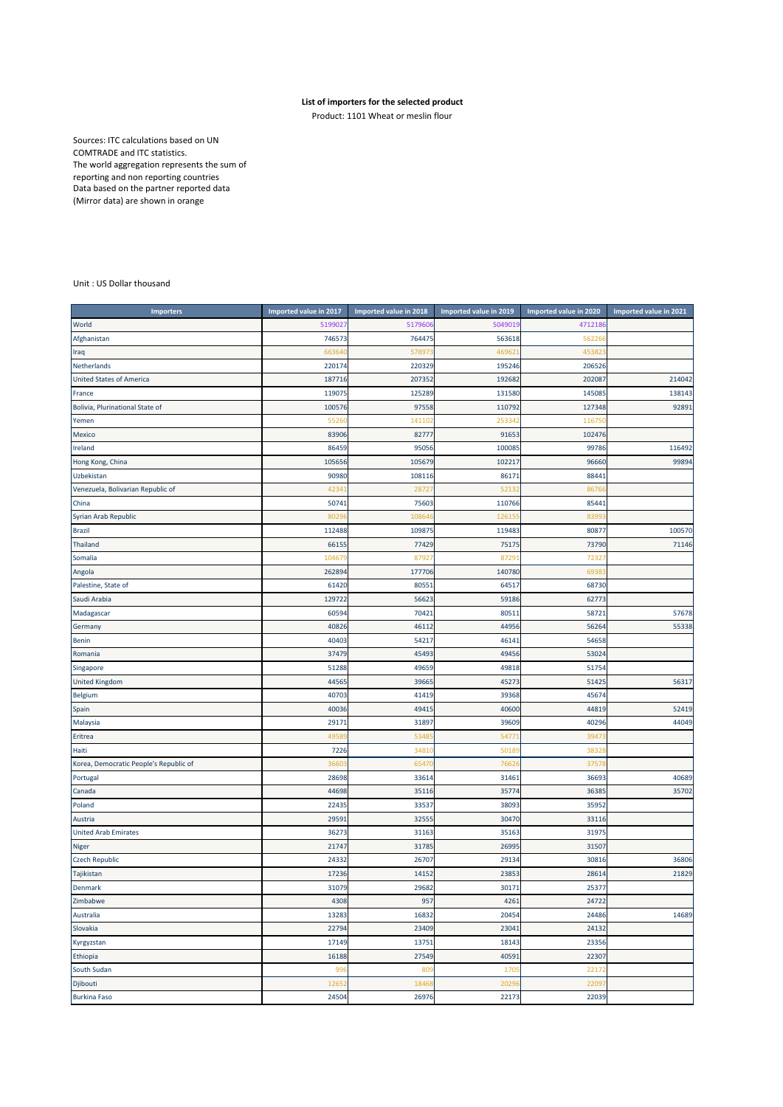## **List of importers for the selected product**

Product: 1101 Wheat or meslin flour

Sources: ITC calculations based on UN COMTRADE and ITC statistics. The world aggregation represents the sum of reporting and non reporting countries Data based on the partner reported data (Mirror data) are shown in orange

## Unit : US Dollar thousand

| <b>Importers</b>                       | Imported value in 2017 | Imported value in 2018 | Imported value in 2019 | Imported value in 2020 | Imported value in 2021 |
|----------------------------------------|------------------------|------------------------|------------------------|------------------------|------------------------|
| World                                  | 5199027                | 517960                 | 504901                 | 4712186                |                        |
| Afghanistan                            | 746573                 | 764475                 | 563618                 | 56226                  |                        |
| Iraq                                   | 663640                 | 57897                  | 46962                  | 453823                 |                        |
| Netherlands                            | 220174                 | 220329                 | 195246                 | 206526                 |                        |
| <b>United States of America</b>        | 187716                 | 207352                 | 192682                 | 202087                 | 214042                 |
| France                                 | 119075                 | 125289                 | 131580                 | 145085                 | 138143                 |
| Bolivia, Plurinational State of        | 100576                 | 97558                  | 110792                 | 127348                 | 92891                  |
| Yemen                                  | 5526                   | 14110                  | 25334                  | 11675                  |                        |
| Mexico                                 | 83906                  | 82777                  | 91653                  | 102476                 |                        |
| Ireland                                | 86459                  | 95056                  | 100085                 | 99786                  | 116492                 |
| Hong Kong, China                       | 105656                 | 105679                 | 102217                 | 96660                  | 99894                  |
| Uzbekistan                             | 90980                  | 108116                 | 86171                  | 88441                  |                        |
| Venezuela, Bolivarian Republic of      | 4234                   | 2872                   | 5213                   | 8676                   |                        |
| China                                  | 50741                  | 75603                  | 110766                 | 85441                  |                        |
| Syrian Arab Republic                   | 8029                   | 10864                  | 12615                  | 8399                   |                        |
| <b>Brazil</b>                          | 112488                 | 109875                 | 119483                 | 80877                  | 100570                 |
| <b>Thailand</b>                        | 66155                  | 77429                  | 75175                  | 73790                  | 71146                  |
| Somalia                                | 10467                  | 87927                  | 8729                   | 72327                  |                        |
| Angola                                 | 262894                 | 177706                 | 140780                 | 6938                   |                        |
| Palestine, State of                    | 61420                  | 80551                  | 64517                  | 68730                  |                        |
| Saudi Arabia                           | 129722                 | 56623                  | 59186                  | 62773                  |                        |
| Madagascar                             | 60594                  | 70421                  | 80511                  | 58721                  | 57678                  |
| Germany                                | 40826                  | 46112                  | 44956                  | 56264                  | 55338                  |
| Benin                                  | 40403                  | 54217                  | 46141                  | 54658                  |                        |
| Romania                                | 37479                  | 45493                  | 49456                  | 53024                  |                        |
| Singapore                              | 51288                  | 49659                  | 49818                  | 51754                  |                        |
| <b>United Kingdom</b>                  | 44565                  | 39665                  | 45273                  | 51425                  | 56317                  |
| Belgium                                | 40703                  | 41419                  | 39368                  | 45674                  |                        |
| Spain                                  | 40036                  | 49415                  | 40600                  | 44819                  | 52419                  |
| Malaysia                               | 29171                  | 31897                  | 39609                  | 40296                  | 44049                  |
| Eritrea                                | 4958                   | 5348                   | 5477                   | 39473                  |                        |
| Haiti                                  | 7226                   | 3481                   | 5018                   | 3832                   |                        |
| Korea, Democratic People's Republic of | 3660                   | 6547                   | 7662                   | 3757                   |                        |
| Portugal                               | 28698                  | 33614                  | 31461                  | 36693                  | 40689                  |
| Canada                                 | 44698                  | 35116                  | 35774                  | 36385                  | 35702                  |
| Poland                                 | 22435                  | 33537                  | 38093                  | 35952                  |                        |
| Austria                                | 2959                   | 32555                  | 30470                  | 33116                  |                        |
| <b>United Arab Emirates</b>            | 36273                  | 31163                  | 35163                  | 31975                  |                        |
| Niger                                  | 21747                  | 31785                  | 26995                  | 31507                  |                        |
| <b>Czech Republic</b>                  | 24332                  | 26707                  | 29134                  | 30816                  | 36806                  |
| Tajikistan                             | 17236                  | 14152                  | 23853                  | 28614                  | 21829                  |
| Denmark                                | 31079                  | 29682                  | 30171                  | 25377                  |                        |
| Zimbabwe                               | 4308                   | 957                    | 4261                   | 24722                  |                        |
| Australia                              | 13283                  | 16832                  | 20454                  | 24486                  | 14689                  |
| Slovakia                               | 22794                  | 23409                  | 23041                  | 24132                  |                        |
| Kyrgyzstan                             | 17149                  | 13751                  | 18143                  | 23356                  |                        |
| Ethiopia                               | 16188                  | 27549                  | 40591                  | 22307                  |                        |
| South Sudan                            | 996                    | 809                    | 170                    | 22172                  |                        |
| Djibouti                               | 12652                  | 18468                  | 2029                   | 22097                  |                        |
| <b>Burkina Faso</b>                    | 24504                  | 26976                  | 22173                  | 22039                  |                        |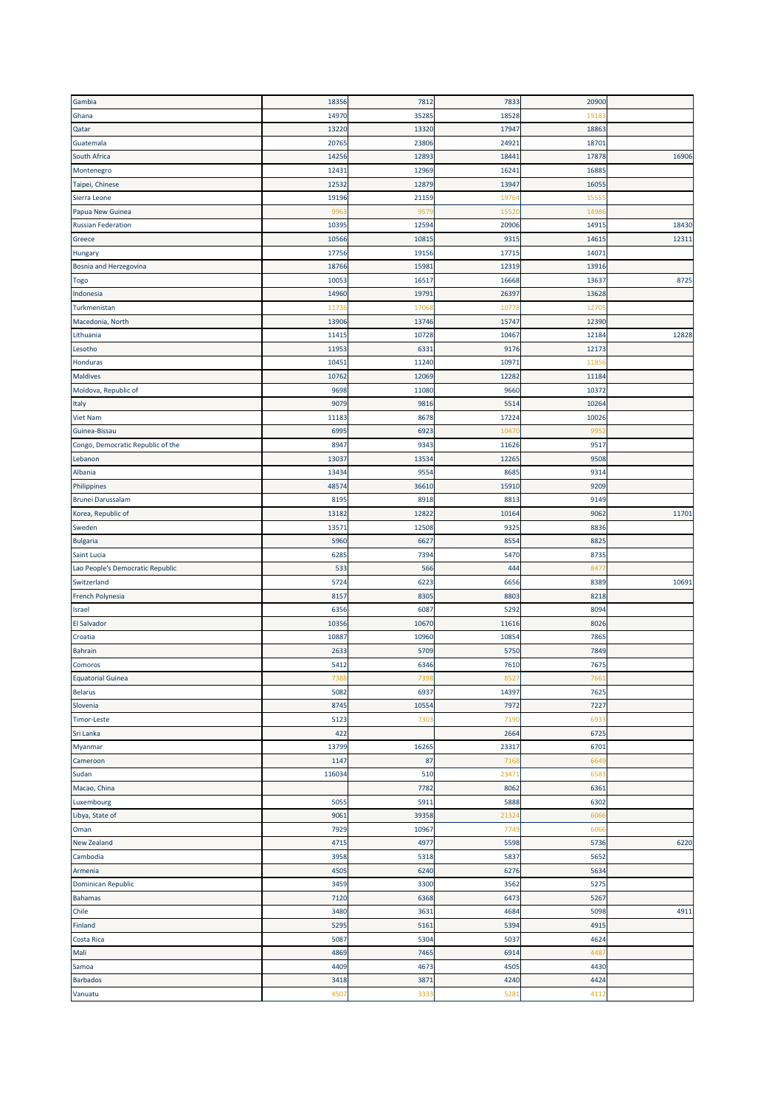| Gambia                            | 18356  | 7812  | 7833  | 20900 |       |
|-----------------------------------|--------|-------|-------|-------|-------|
| Ghana                             | 14970  | 3528  | 18528 | 1918  |       |
| Qatar                             | 13220  | 13320 | 17947 | 1886  |       |
|                                   |        |       |       |       |       |
| Guatemala                         | 20765  | 23806 | 24921 | 1870  |       |
| South Africa                      | 14256  | 12893 | 18441 | 17878 | 16906 |
| Montenegro                        | 12431  | 12969 | 16241 | 1688  |       |
| Taipei, Chinese                   | 12532  | 12879 | 13947 | 1605  |       |
| Sierra Leone                      | 19196  | 21159 | 19764 | 1555  |       |
| Papua New Guinea                  | 996    | 957   | 1552  | 1498  |       |
| <b>Russian Federation</b>         | 10395  | 12594 | 20906 | 1491  | 18430 |
| Greece                            | 10566  | 1081  | 931   | 1461  | 12311 |
| Hungary                           | 17756  | 19156 | 17715 | 1407  |       |
|                                   |        |       |       |       |       |
| Bosnia and Herzegovina            | 18766  | 1598  | 12319 | 13916 |       |
| Togo                              | 1005   | 16517 | 16668 | 1363  | 8725  |
| Indonesia                         | 14960  | 1979: | 26397 | 13628 |       |
| Turkmenistan                      | 1173   | 1706  | 1077  | 1270  |       |
| Macedonia, North                  | 13906  | 13746 | 15747 | 12390 |       |
| Lithuania                         | 1141   | 10728 | 10467 | 1218  | 12828 |
| Lesotho                           | 11953  | 6331  | 9176  | 12173 |       |
| Honduras                          | 10451  | 11240 | 10971 | 1185  |       |
| <b>Maldives</b>                   | 10762  | 12069 | 12282 | 11184 |       |
|                                   |        |       |       |       |       |
| Moldova, Republic of              | 9698   | 11080 | 9660  | 1037  |       |
| Italy                             | 9079   | 9816  | 5514  | 10264 |       |
| <b>Viet Nam</b>                   | 11183  | 8678  | 17224 | 10026 |       |
| Guinea-Bissau                     | 6995   | 6923  | 1047  | 995   |       |
| Congo, Democratic Republic of the | 8947   | 9343  | 11626 | 951   |       |
| Lebanon                           | 1303   | 13534 | 12265 | 9508  |       |
| Albania                           | 13434  | 9554  | 8685  | 9314  |       |
| Philippines                       | 48574  | 36610 | 15910 | 9209  |       |
| <b>Brunei Darussalam</b>          | 8195   | 8918  | 8813  | 9149  |       |
|                                   |        |       |       |       |       |
| Korea, Republic of                | 13182  | 12822 | 10164 | 906   | 11701 |
| Sweden                            | 13571  | 12508 | 9325  | 8836  |       |
| <b>Bulgaria</b>                   | 5960   | 6627  | 8554  | 882   |       |
| Saint Lucia                       | 6285   | 7394  | 5470  | 8735  |       |
| Lao People's Democratic Republic  | 533    | 566   | 444   | 847   |       |
| Switzerland                       | 5724   | 6223  | 6656  | 8389  | 10691 |
| French Polynesia                  | 8157   | 8305  | 8803  | 8218  |       |
| Israel                            | 6356   | 6087  | 5292  | 8094  |       |
| El Salvador                       |        |       |       |       |       |
|                                   |        |       |       |       |       |
|                                   | 10356  | 10670 | 11616 | 8026  |       |
| Croatia                           | 10887  | 10960 | 10854 | 786   |       |
| <b>Bahrain</b>                    | 263    | 5709  | 5750  | 7849  |       |
| Comoros                           | 5412   | 6346  | 7610  | 767   |       |
| <b>Equatorial Guinea</b>          | 738    | 739   | 8527  | 766   |       |
| Belarus                           | 5082   | 6937  | 14397 | 7625  |       |
| Slovenia                          | 8745   | 10554 | 7972  | 7227  |       |
| Timor-Leste                       | 5123   | 7303  | 7190  | 693   |       |
| Sri Lanka                         | 422    |       | 2664  | 6725  |       |
|                                   | 13799  | 16265 | 23317 | 6701  |       |
|                                   |        |       |       |       |       |
| Myanmar<br>Cameroon               | 1147   | 87    | 716   | 664   |       |
| Sudan                             | 116034 | 510   | 23471 | 658   |       |
| Macao, China                      |        | 7782  | 8062  | 6361  |       |
| Luxembourg                        | 5055   | 5911  | 5888  | 6302  |       |
| Libya, State of                   | 9061   | 39358 | 2132  | 606   |       |
| Oman                              | 7929   | 10967 | 7749  | 606   |       |
| <b>New Zealand</b>                | 4715   | 4977  | 5598  | 5736  | 6220  |
| Cambodia                          | 3958   | 5318  | 5837  | 5652  |       |
| Armenia                           | 4505   | 6240  | 6276  | 5634  |       |
|                                   |        |       |       |       |       |
| Dominican Republic                | 3459   | 3300  | 3562  | 5275  |       |
| <b>Bahamas</b>                    | 7120   | 6368  | 6473  | 5267  |       |
|                                   | 3480   | 3631  | 4684  | 5098  | 4911  |
|                                   | 5295   | 5161  | 5394  | 4915  |       |
| <b>Costa Rica</b>                 | 5087   | 5304  | 5037  | 4624  |       |
| Chile<br>Finland<br>Mali          | 4869   | 7465  | 6914  | 448   |       |
| Samoa                             | 4409   | 4673  | 4505  | 4430  |       |
| <b>Barbados</b>                   | 3418   | 3871  | 4240  | 4424  |       |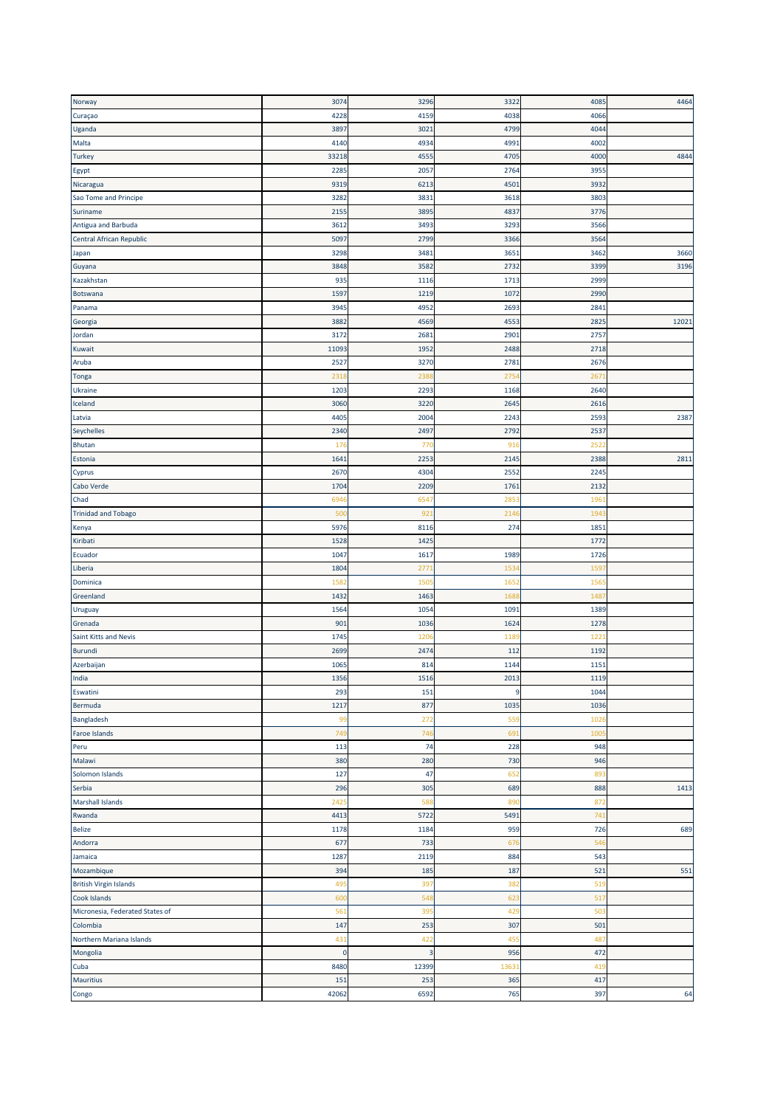| Norway                          | 3074         | 3296           | 3322           | 4085             | 4464  |
|---------------------------------|--------------|----------------|----------------|------------------|-------|
| Curaçao                         | 4228         | 4159           | 4038           | 4066             |       |
| Uganda                          | 3897         | 3021           | 4799           | 4044             |       |
| Malta                           | 4140         | 4934           | 4991           | 4002             |       |
| <b>Turkey</b>                   | 33218        | 4555           | 4705           | 4000             | 4844  |
| Egypt                           | 2285         | 2057           | 2764           | 395              |       |
| Nicaragua                       | 9319         | 6213           | 4501           | 3932             |       |
| Sao Tome and Principe           | 3282         | 3831           | 3618           | 3803             |       |
| Suriname                        | 2155         | 3895           | 4837           | 3776             |       |
| Antigua and Barbuda             | 3612         | 3493           | 3293           | 3566             |       |
| Central African Republic        | 5097         | 2799           | 3366           | 3564             |       |
| Japan                           | 3298         | 3481           | 3651           | 3462             | 3660  |
| Guyana                          | 3848         | 3582           | 2732           | 339 <sup>c</sup> | 3196  |
|                                 | 935          | 1116           | 1713           | 2999             |       |
| Kazakhstan<br>Botswana          |              |                |                | 2990             |       |
|                                 | 1597         | 1219           | 1072           |                  |       |
| Panama                          | 3945<br>3882 | 4952<br>4569   | 2693<br>4553   | 284<br>282       | 12021 |
| Georgia                         |              |                |                |                  |       |
| Jordan                          | 3172         | 2681           | 290            | 275              |       |
| Kuwait                          | 11093        | 1952           | 2488           | 2718             |       |
| Aruba                           | 2527         | 3270           | 278            | 2676             |       |
| Tonga                           | 2318         | 238            | 275            | 267              |       |
| Ukraine                         | 1203         | 2293           | 1168           | 2640             |       |
| Iceland                         | 3060         | 3220           | 264            | 261              |       |
| Latvia                          | 4405         | 2004           | 2243           | 2593             | 2387  |
| Seychelles                      | 2340         | 2497           | 2792           | 2537             |       |
| Bhutan                          | 176          | 770            | 91             | 252              |       |
| Estonia                         | 1641         | 2253           | 2145           | 2388             | 2811  |
| Cyprus                          | 2670         | 4304           | 2552           | 224              |       |
| Cabo Verde                      | 1704         | 2209           | 176            | 2132             |       |
| Chad                            | 694          | 6547           | 285            | 196              |       |
| <b>Trinidad and Tobago</b>      | 500          | 921            | 214            | 194              |       |
| Kenya                           | 5976         | 8116           | 274            | 1851             |       |
| Kiribati                        | 1528         | 1425           |                | 1772             |       |
| Ecuador                         | 1047         | 1617           | 1989           | 1726             |       |
| Liberia                         | 1804         | 277            | 153            | 159              |       |
| Dominica                        | 1582         | 150            | 165            | 156              |       |
| Greenland                       | 1432         | 1463           | 168            | 148              |       |
| Uruguay                         | 1564         | 1054           | 1091           | 1389             |       |
| Grenada                         | 901          | 1036           | 1624           | 1278             |       |
| Saint Kitts and Nevis           | 1745         | 120            | 1189           | 122              |       |
| <b>Burundi</b>                  | 2699         | 2474           | 112            | 1192             |       |
| Azerbaijan                      | 1065         | 814            | 1144           | 1151             |       |
| India                           | 1356         | 1516           | 2013           | 1119             |       |
| Eswatini                        | 293          | 151            | $\overline{9}$ | 1044             |       |
| Bermuda                         | 1217         | 877            | 1035           | 1036             |       |
| Bangladesh                      | 99           | 272            | 559            | 102              |       |
| <b>Faroe Islands</b>            | 749          | 746            | 69:            | 100              |       |
| Peru                            | 113          | 74             | 228            | 948              |       |
| Malawi                          | 380          | 280            | 730            | 946              |       |
| Solomon Islands                 | 127          | 47             | 652            | 893              |       |
| Serbia                          | 296          | 305            | 689            | 888              | 1413  |
| <b>Marshall Islands</b>         | 2425         | 588            | 890            | 872              |       |
| Rwanda                          | 4413         | 5722           | 5491           | 741              |       |
| Belize                          | 1178         | 1184           | 959            | 726              | 689   |
|                                 |              |                |                |                  |       |
| Andorra                         | 677          | 733            | 676            | 546              |       |
| Jamaica                         | 1287         | 2119           | 884            | 543              |       |
| Mozambique                      | 394          | 185            | 187            | 521              | 551   |
| <b>British Virgin Islands</b>   | 495          | 397            | 382            | 519              |       |
| Cook Islands                    | 600          | 548            | 623            | 517              |       |
| Micronesia, Federated States of | 561          | 395            | 429            | 503              |       |
| Colombia                        | 147          | 253            | 307            | 501              |       |
| Northern Mariana Islands        | 431          | 422            | 455            | 487              |       |
| Mongolia                        | $\mathbf 0$  | $\overline{3}$ | 956            | 472              |       |
| Cuba                            | 8480         | 12399          | 1363           | 419              |       |
| Mauritius                       | 151          | 253            | 365            | 417              |       |
| Congo                           | 42062        | 6592           | 765            | 397              | 64    |